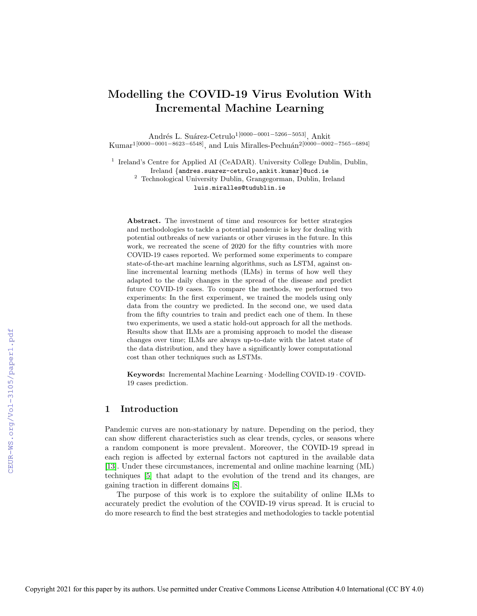# Modelling the COVID-19 Virus Evolution With Incremental Machine Learning

Andr´es L. Su´arez-Cetrulo1[0000−0001−5266−5053], Ankit Kumar<sup>1</sup>[0000−0001−8623−6548], and Luis Miralles-Pechuán<sup>2</sup>[0000−0002−7565−6894]

<sup>1</sup> Ireland's Centre for Applied AI (CeADAR). University College Dublin, Dublin, Ireland {andres.suarez-cetrulo,ankit.kumar}@ucd.ie <sup>2</sup> Technological University Dublin, Grangegorman, Dublin, Ireland luis.miralles@tudublin.ie

Abstract. The investment of time and resources for better strategies and methodologies to tackle a potential pandemic is key for dealing with potential outbreaks of new variants or other viruses in the future. In this work, we recreated the scene of 2020 for the fifty countries with more COVID-19 cases reported. We performed some experiments to compare state-of-the-art machine learning algorithms, such as LSTM, against online incremental learning methods (ILMs) in terms of how well they adapted to the daily changes in the spread of the disease and predict future COVID-19 cases. To compare the methods, we performed two experiments: In the first experiment, we trained the models using only data from the country we predicted. In the second one, we used data from the fifty countries to train and predict each one of them. In these two experiments, we used a static hold-out approach for all the methods. Results show that ILMs are a promising approach to model the disease changes over time; ILMs are always up-to-date with the latest state of the data distribution, and they have a significantly lower computational cost than other techniques such as LSTMs.

Keywords: Incremental Machine Learning · Modelling COVID-19 · COVID-19 cases prediction.

## 1 Introduction

Pandemic curves are non-stationary by nature. Depending on the period, they can show different characteristics such as clear trends, cycles, or seasons where a random component is more prevalent. Moreover, the COVID-19 spread in each region is affected by external factors not captured in the available data [\[13\]](#page--1-0). Under these circumstances, incremental and online machine learning (ML) techniques [\[5\]](#page--1-1) that adapt to the evolution of the trend and its changes, are gaining traction in different domains [\[8\]](#page--1-2).

The purpose of this work is to explore the suitability of online ILMs to accurately predict the evolution of the COVID-19 virus spread. It is crucial to do more research to find the best strategies and methodologies to tackle potential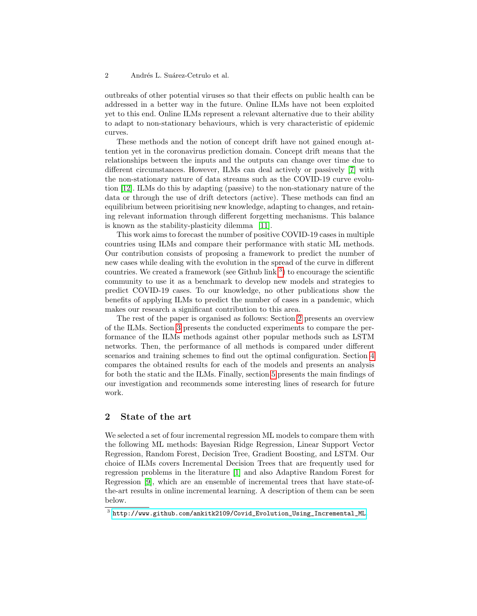outbreaks of other potential viruses so that their effects on public health can be addressed in a better way in the future. Online ILMs have not been exploited yet to this end. Online ILMs represent a relevant alternative due to their ability to adapt to non-stationary behaviours, which is very characteristic of epidemic curves.

These methods and the notion of concept drift have not gained enough attention yet in the coronavirus prediction domain. Concept drift means that the relationships between the inputs and the outputs can change over time due to different circumstances. However, ILMs can deal actively or passively [\[7\]](#page-10-0) with the non-stationary nature of data streams such as the COVID-19 curve evolution [\[12\]](#page-11-0). ILMs do this by adapting (passive) to the non-stationary nature of the data or through the use of drift detectors (active). These methods can find an equilibrium between prioritising new knowledge, adapting to changes, and retaining relevant information through different forgetting mechanisms. This balance is known as the stability-plasticity dilemma [\[11\]](#page-10-1).

This work aims to forecast the number of positive COVID-19 cases in multiple countries using ILMs and compare their performance with static ML methods. Our contribution consists of proposing a framework to predict the number of new cases while dealing with the evolution in the spread of the curve in different countries. We created a framework (see Github  $\text{link}^3$  $\text{link}^3$ ) to encourage the scientific community to use it as a benchmark to develop new models and strategies to predict COVID-19 cases. To our knowledge, no other publications show the benefits of applying ILMs to predict the number of cases in a pandemic, which makes our research a significant contribution to this area.

The rest of the paper is organised as follows: Section [2](#page-1-1) presents an overview of the ILMs. Section [3](#page-2-0) presents the conducted experiments to compare the performance of the ILMs methods against other popular methods such as LSTM networks. Then, the performance of all methods is compared under different scenarios and training schemes to find out the optimal configuration. Section [4](#page-8-0) compares the obtained results for each of the models and presents an analysis for both the static and the ILMs. Finally, section [5](#page-9-0) presents the main findings of our investigation and recommends some interesting lines of research for future work.

# <span id="page-1-1"></span>2 State of the art

We selected a set of four incremental regression ML models to compare them with the following ML methods: Bayesian Ridge Regression, Linear Support Vector Regression, Random Forest, Decision Tree, Gradient Boosting, and LSTM. Our choice of ILMs covers Incremental Decision Trees that are frequently used for regression problems in the literature [\[1\]](#page-10-2) and also Adaptive Random Forest for Regression [\[9\]](#page-10-3), which are an ensemble of incremental trees that have state-ofthe-art results in online incremental learning. A description of them can be seen below.

<span id="page-1-0"></span> $^3$  [http://www.github.com/ankitk2109/Covid\\_Evolution\\_Using\\_Incremental\\_ML](http://www.github.com/ankitk2109/Covid_Evolution_Using_Incremental_ML).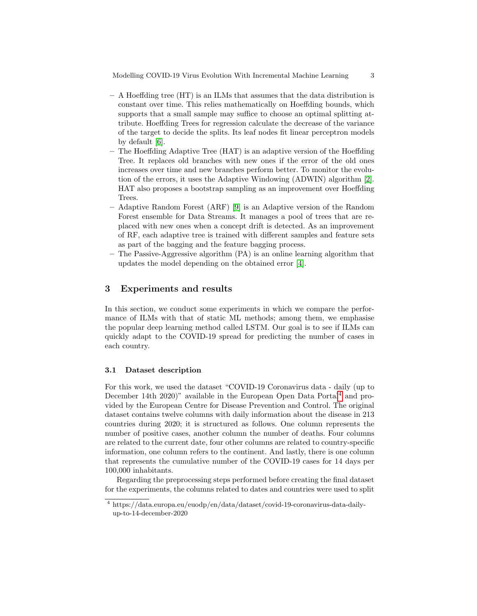Modelling COVID-19 Virus Evolution With Incremental Machine Learning 3

- A Hoeffding tree (HT) is an ILMs that assumes that the data distribution is constant over time. This relies mathematically on Hoeffding bounds, which supports that a small sample may suffice to choose an optimal splitting attribute. Hoeffding Trees for regression calculate the decrease of the variance of the target to decide the splits. Its leaf nodes fit linear perceptron models by default [\[6\]](#page-10-4).
- The Hoeffding Adaptive Tree (HAT) is an adaptive version of the Hoeffding Tree. It replaces old branches with new ones if the error of the old ones increases over time and new branches perform better. To monitor the evolution of the errors, it uses the Adaptive Windowing (ADWIN) algorithm [\[2\]](#page-10-5). HAT also proposes a bootstrap sampling as an improvement over Hoeffding Trees.
- Adaptive Random Forest (ARF) [\[9\]](#page-10-3) is an Adaptive version of the Random Forest ensemble for Data Streams. It manages a pool of trees that are replaced with new ones when a concept drift is detected. As an improvement of RF, each adaptive tree is trained with different samples and feature sets as part of the bagging and the feature bagging process.
- The Passive-Aggressive algorithm (PA) is an online learning algorithm that updates the model depending on the obtained error [\[4\]](#page-10-6).

# <span id="page-2-0"></span>3 Experiments and results

In this section, we conduct some experiments in which we compare the performance of ILMs with that of static ML methods; among them, we emphasise the popular deep learning method called LSTM. Our goal is to see if ILMs can quickly adapt to the COVID-19 spread for predicting the number of cases in each country.

#### 3.1 Dataset description

For this work, we used the dataset "COVID-19 Coronavirus data - daily (up to December 1[4](#page-2-1)th 2020)" available in the European Open Data Portal<sup>4</sup> and provided by the European Centre for Disease Prevention and Control. The original dataset contains twelve columns with daily information about the disease in 213 countries during 2020; it is structured as follows. One column represents the number of positive cases, another column the number of deaths. Four columns are related to the current date, four other columns are related to country-specific information, one column refers to the continent. And lastly, there is one column that represents the cumulative number of the COVID-19 cases for 14 days per 100,000 inhabitants.

Regarding the preprocessing steps performed before creating the final dataset for the experiments, the columns related to dates and countries were used to split

<span id="page-2-1"></span><sup>4</sup> https://data.europa.eu/euodp/en/data/dataset/covid-19-coronavirus-data-dailyup-to-14-december-2020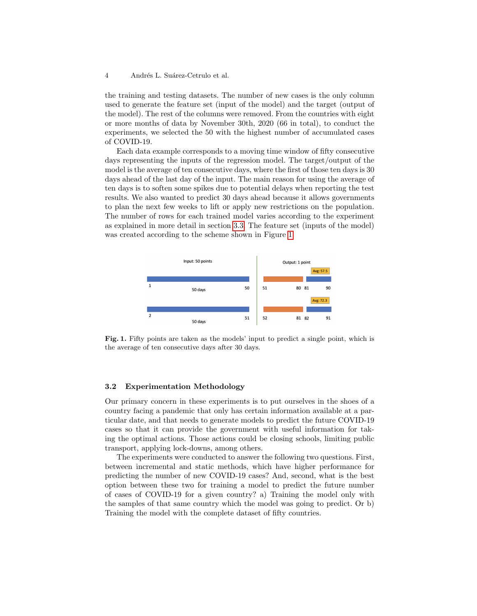the training and testing datasets. The number of new cases is the only column used to generate the feature set (input of the model) and the target (output of the model). The rest of the columns were removed. From the countries with eight or more months of data by November 30th, 2020 (66 in total), to conduct the experiments, we selected the 50 with the highest number of accumulated cases of COVID-19.

Each data example corresponds to a moving time window of fifty consecutive days representing the inputs of the regression model. The target/output of the model is the average of ten consecutive days, where the first of those ten days is 30 days ahead of the last day of the input. The main reason for using the average of ten days is to soften some spikes due to potential delays when reporting the test results. We also wanted to predict 30 days ahead because it allows governments to plan the next few weeks to lift or apply new restrictions on the population. The number of rows for each trained model varies according to the experiment as explained in more detail in section [3.3.](#page-6-0) The feature set (inputs of the model) was created according to the scheme shown in Figure [1.](#page-3-0)



<span id="page-3-0"></span>Fig. 1. Fifty points are taken as the models' input to predict a single point, which is the average of ten consecutive days after 30 days.

#### 3.2 Experimentation Methodology

Our primary concern in these experiments is to put ourselves in the shoes of a country facing a pandemic that only has certain information available at a particular date, and that needs to generate models to predict the future COVID-19 cases so that it can provide the government with useful information for taking the optimal actions. Those actions could be closing schools, limiting public transport, applying lock-downs, among others.

The experiments were conducted to answer the following two questions. First, between incremental and static methods, which have higher performance for predicting the number of new COVID-19 cases? And, second, what is the best option between these two for training a model to predict the future number of cases of COVID-19 for a given country? a) Training the model only with the samples of that same country which the model was going to predict. Or b) Training the model with the complete dataset of fifty countries.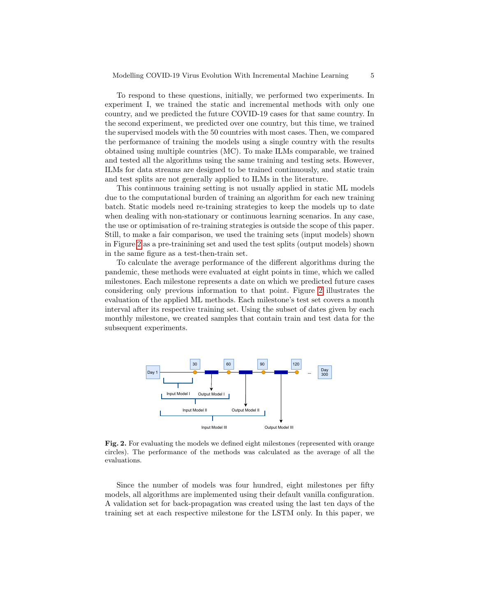To respond to these questions, initially, we performed two experiments. In experiment I, we trained the static and incremental methods with only one country, and we predicted the future COVID-19 cases for that same country. In the second experiment, we predicted over one country, but this time, we trained the supervised models with the 50 countries with most cases. Then, we compared the performance of training the models using a single country with the results obtained using multiple countries (MC). To make ILMs comparable, we trained and tested all the algorithms using the same training and testing sets. However, ILMs for data streams are designed to be trained continuously, and static train and test splits are not generally applied to ILMs in the literature.

This continuous training setting is not usually applied in static ML models due to the computational burden of training an algorithm for each new training batch. Static models need re-training strategies to keep the models up to date when dealing with non-stationary or continuous learning scenarios. In any case, the use or optimisation of re-training strategies is outside the scope of this paper. Still, to make a fair comparison, we used the training sets (input models) shown in Figure [2](#page-4-0) as a pre-trainining set and used the test splits (output models) shown in the same figure as a test-then-train set.

To calculate the average performance of the different algorithms during the pandemic, these methods were evaluated at eight points in time, which we called milestones. Each milestone represents a date on which we predicted future cases considering only previous information to that point. Figure [2](#page-4-0) illustrates the evaluation of the applied ML methods. Each milestone's test set covers a month interval after its respective training set. Using the subset of dates given by each monthly milestone, we created samples that contain train and test data for the subsequent experiments.



<span id="page-4-0"></span>Fig. 2. For evaluating the models we defined eight milestones (represented with orange circles). The performance of the methods was calculated as the average of all the evaluations.

Since the number of models was four hundred, eight milestones per fifty models, all algorithms are implemented using their default vanilla configuration. A validation set for back-propagation was created using the last ten days of the training set at each respective milestone for the LSTM only. In this paper, we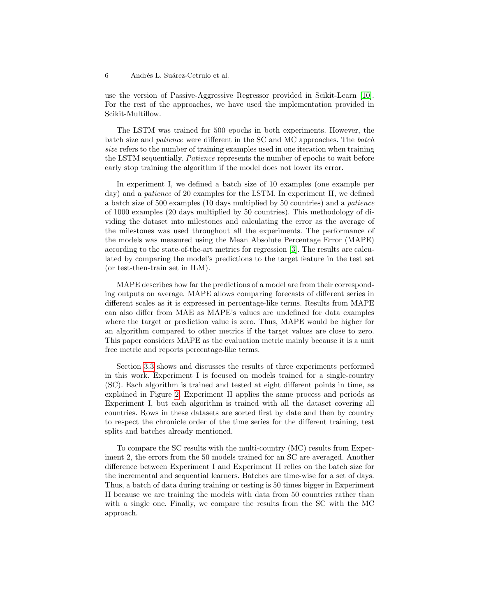use the version of Passive-Aggressive Regressor provided in Scikit-Learn [\[10\]](#page-10-7). For the rest of the approaches, we have used the implementation provided in Scikit-Multiflow.

The LSTM was trained for 500 epochs in both experiments. However, the batch size and patience were different in the SC and MC approaches. The batch size refers to the number of training examples used in one iteration when training the LSTM sequentially. Patience represents the number of epochs to wait before early stop training the algorithm if the model does not lower its error.

In experiment I, we defined a batch size of 10 examples (one example per day) and a patience of 20 examples for the LSTM. In experiment II, we defined a batch size of 500 examples (10 days multiplied by 50 countries) and a patience of 1000 examples (20 days multiplied by 50 countries). This methodology of dividing the dataset into milestones and calculating the error as the average of the milestones was used throughout all the experiments. The performance of the models was measured using the Mean Absolute Percentage Error (MAPE) according to the state-of-the-art metrics for regression [\[3\]](#page-10-8). The results are calculated by comparing the model's predictions to the target feature in the test set (or test-then-train set in ILM).

MAPE describes how far the predictions of a model are from their corresponding outputs on average. MAPE allows comparing forecasts of different series in different scales as it is expressed in percentage-like terms. Results from MAPE can also differ from MAE as MAPE's values are undefined for data examples where the target or prediction value is zero. Thus, MAPE would be higher for an algorithm compared to other metrics if the target values are close to zero. This paper considers MAPE as the evaluation metric mainly because it is a unit free metric and reports percentage-like terms.

Section [3.3](#page-6-0) shows and discusses the results of three experiments performed in this work. Experiment I is focused on models trained for a single-country (SC). Each algorithm is trained and tested at eight different points in time, as explained in Figure [2.](#page-4-0) Experiment II applies the same process and periods as Experiment I, but each algorithm is trained with all the dataset covering all countries. Rows in these datasets are sorted first by date and then by country to respect the chronicle order of the time series for the different training, test splits and batches already mentioned.

To compare the SC results with the multi-country (MC) results from Experiment 2, the errors from the 50 models trained for an SC are averaged. Another difference between Experiment I and Experiment II relies on the batch size for the incremental and sequential learners. Batches are time-wise for a set of days. Thus, a batch of data during training or testing is 50 times bigger in Experiment II because we are training the models with data from 50 countries rather than with a single one. Finally, we compare the results from the SC with the MC approach.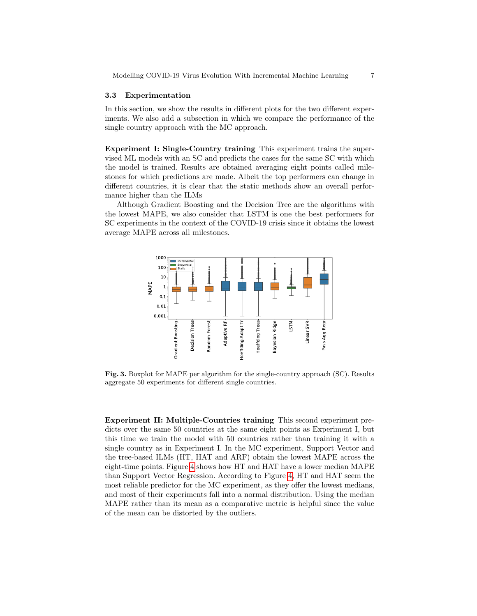#### <span id="page-6-0"></span>3.3 Experimentation

In this section, we show the results in different plots for the two different experiments. We also add a subsection in which we compare the performance of the single country approach with the MC approach.

Experiment I: Single-Country training This experiment trains the supervised ML models with an SC and predicts the cases for the same SC with which the model is trained. Results are obtained averaging eight points called milestones for which predictions are made. Albeit the top performers can change in different countries, it is clear that the static methods show an overall performance higher than the ILMs

Although Gradient Boosting and the Decision Tree are the algorithms with the lowest MAPE, we also consider that LSTM is one the best performers for SC experiments in the context of the COVID-19 crisis since it obtains the lowest average MAPE across all milestones.



<span id="page-6-1"></span>Fig. 3. Boxplot for MAPE per algorithm for the single-country approach (SC). Results aggregate 50 experiments for different single countries.

Experiment II: Multiple-Countries training This second experiment predicts over the same 50 countries at the same eight points as Experiment I, but this time we train the model with 50 countries rather than training it with a single country as in Experiment I. In the MC experiment, Support Vector and the tree-based ILMs (HT, HAT and ARF) obtain the lowest MAPE across the eight-time points. Figure [4](#page-7-0) shows how HT and HAT have a lower median MAPE than Support Vector Regression. According to Figure [4,](#page-7-0) HT and HAT seem the most reliable predictor for the MC experiment, as they offer the lowest medians, and most of their experiments fall into a normal distribution. Using the median MAPE rather than its mean as a comparative metric is helpful since the value of the mean can be distorted by the outliers.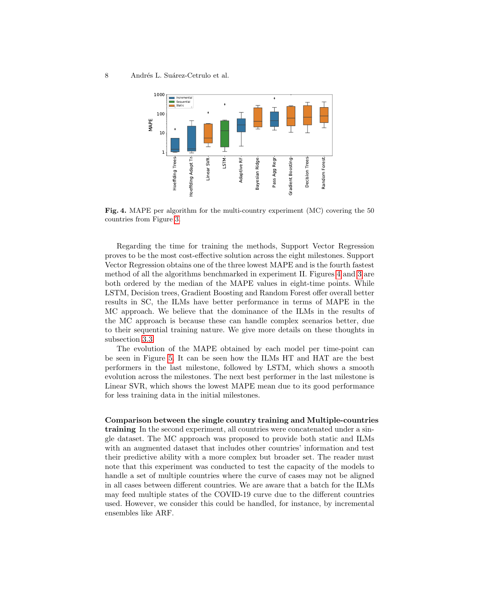

<span id="page-7-0"></span>Fig. 4. MAPE per algorithm for the multi-country experiment (MC) covering the 50 countries from Figure [3.](#page-6-1)

Regarding the time for training the methods, Support Vector Regression proves to be the most cost-effective solution across the eight milestones. Support Vector Regression obtains one of the three lowest MAPE and is the fourth fastest method of all the algorithms benchmarked in experiment II. Figures [4](#page-7-0) and [3](#page-6-1) are both ordered by the median of the MAPE values in eight-time points. While LSTM, Decision trees, Gradient Boosting and Random Forest offer overall better results in SC, the ILMs have better performance in terms of MAPE in the MC approach. We believe that the dominance of the ILMs in the results of the MC approach is because these can handle complex scenarios better, due to their sequential training nature. We give more details on these thoughts in subsection [3.3.](#page-7-1)

The evolution of the MAPE obtained by each model per time-point can be seen in Figure [5.](#page-8-1) It can be seen how the ILMs HT and HAT are the best performers in the last milestone, followed by LSTM, which shows a smooth evolution across the milestones. The next best performer in the last milestone is Linear SVR, which shows the lowest MAPE mean due to its good performance for less training data in the initial milestones.

## <span id="page-7-1"></span>Comparison between the single country training and Multiple-countries training In the second experiment, all countries were concatenated under a single dataset. The MC approach was proposed to provide both static and ILMs with an augmented dataset that includes other countries' information and test

their predictive ability with a more complex but broader set. The reader must note that this experiment was conducted to test the capacity of the models to handle a set of multiple countries where the curve of cases may not be aligned in all cases between different countries. We are aware that a batch for the ILMs may feed multiple states of the COVID-19 curve due to the different countries used. However, we consider this could be handled, for instance, by incremental ensembles like ARF.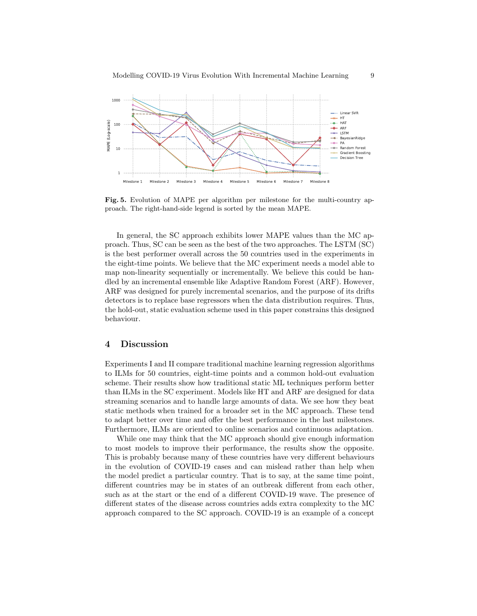

<span id="page-8-1"></span>Fig. 5. Evolution of MAPE per algorithm per milestone for the multi-country approach. The right-hand-side legend is sorted by the mean MAPE.

In general, the SC approach exhibits lower MAPE values than the MC approach. Thus, SC can be seen as the best of the two approaches. The LSTM (SC) is the best performer overall across the 50 countries used in the experiments in the eight-time points. We believe that the MC experiment needs a model able to map non-linearity sequentially or incrementally. We believe this could be handled by an incremental ensemble like Adaptive Random Forest (ARF). However, ARF was designed for purely incremental scenarios, and the purpose of its drifts detectors is to replace base regressors when the data distribution requires. Thus, the hold-out, static evaluation scheme used in this paper constrains this designed behaviour.

## <span id="page-8-0"></span>4 Discussion

Experiments I and II compare traditional machine learning regression algorithms to ILMs for 50 countries, eight-time points and a common hold-out evaluation scheme. Their results show how traditional static ML techniques perform better than ILMs in the SC experiment. Models like HT and ARF are designed for data streaming scenarios and to handle large amounts of data. We see how they beat static methods when trained for a broader set in the MC approach. These tend to adapt better over time and offer the best performance in the last milestones. Furthermore, ILMs are oriented to online scenarios and continuous adaptation.

While one may think that the MC approach should give enough information to most models to improve their performance, the results show the opposite. This is probably because many of these countries have very different behaviours in the evolution of COVID-19 cases and can mislead rather than help when the model predict a particular country. That is to say, at the same time point, different countries may be in states of an outbreak different from each other, such as at the start or the end of a different COVID-19 wave. The presence of different states of the disease across countries adds extra complexity to the MC approach compared to the SC approach. COVID-19 is an example of a concept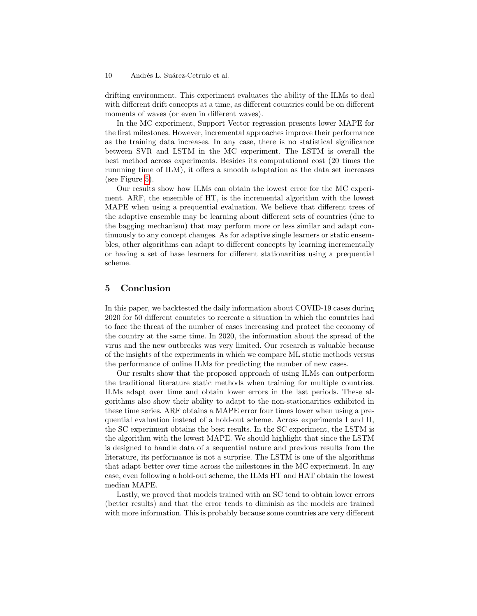#### 10 Andrés L. Suárez-Cetrulo et al.

drifting environment. This experiment evaluates the ability of the ILMs to deal with different drift concepts at a time, as different countries could be on different moments of waves (or even in different waves).

In the MC experiment, Support Vector regression presents lower MAPE for the first milestones. However, incremental approaches improve their performance as the training data increases. In any case, there is no statistical significance between SVR and LSTM in the MC experiment. The LSTM is overall the best method across experiments. Besides its computational cost (20 times the runnning time of ILM), it offers a smooth adaptation as the data set increases (see Figure [5\)](#page-8-1).

Our results show how ILMs can obtain the lowest error for the MC experiment. ARF, the ensemble of HT, is the incremental algorithm with the lowest MAPE when using a prequential evaluation. We believe that different trees of the adaptive ensemble may be learning about different sets of countries (due to the bagging mechanism) that may perform more or less similar and adapt continuously to any concept changes. As for adaptive single learners or static ensembles, other algorithms can adapt to different concepts by learning incrementally or having a set of base learners for different stationarities using a prequential scheme.

#### <span id="page-9-0"></span>5 Conclusion

In this paper, we backtested the daily information about COVID-19 cases during 2020 for 50 different countries to recreate a situation in which the countries had to face the threat of the number of cases increasing and protect the economy of the country at the same time. In 2020, the information about the spread of the virus and the new outbreaks was very limited. Our research is valuable because of the insights of the experiments in which we compare ML static methods versus the performance of online ILMs for predicting the number of new cases.

Our results show that the proposed approach of using ILMs can outperform the traditional literature static methods when training for multiple countries. ILMs adapt over time and obtain lower errors in the last periods. These algorithms also show their ability to adapt to the non-stationarities exhibited in these time series. ARF obtains a MAPE error four times lower when using a prequential evaluation instead of a hold-out scheme. Across experiments I and II, the SC experiment obtains the best results. In the SC experiment, the LSTM is the algorithm with the lowest MAPE. We should highlight that since the LSTM is designed to handle data of a sequential nature and previous results from the literature, its performance is not a surprise. The LSTM is one of the algorithms that adapt better over time across the milestones in the MC experiment. In any case, even following a hold-out scheme, the ILMs HT and HAT obtain the lowest median MAPE.

Lastly, we proved that models trained with an SC tend to obtain lower errors (better results) and that the error tends to diminish as the models are trained with more information. This is probably because some countries are very different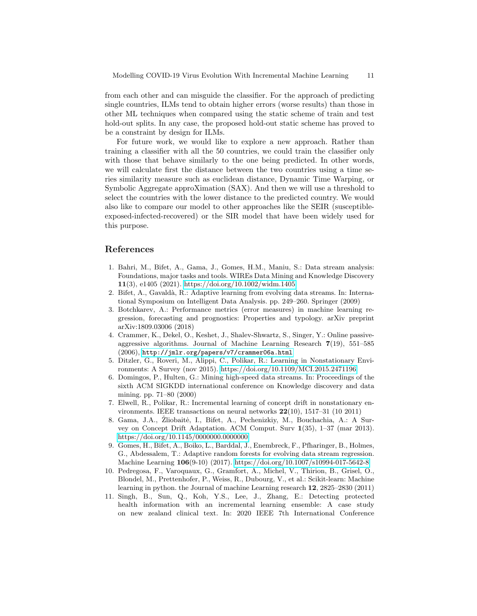from each other and can misguide the classifier. For the approach of predicting single countries, ILMs tend to obtain higher errors (worse results) than those in other ML techniques when compared using the static scheme of train and test hold-out splits. In any case, the proposed hold-out static scheme has proved to be a constraint by design for ILMs.

For future work, we would like to explore a new approach. Rather than training a classifier with all the 50 countries, we could train the classifier only with those that behave similarly to the one being predicted. In other words, we will calculate first the distance between the two countries using a time series similarity measure such as euclidean distance, Dynamic Time Warping, or Symbolic Aggregate approXimation (SAX). And then we will use a threshold to select the countries with the lower distance to the predicted country. We would also like to compare our model to other approaches like the SEIR (susceptibleexposed-infected-recovered) or the SIR model that have been widely used for this purpose.

## References

- <span id="page-10-2"></span>1. Bahri, M., Bifet, A., Gama, J., Gomes, H.M., Maniu, S.: Data stream analysis: Foundations, major tasks and tools. WIREs Data Mining and Knowledge Discovery 11(3), e1405 (2021).<https://doi.org/10.1002/widm.1405>
- <span id="page-10-5"></span>2. Bifet, A., Gavaldà, R.: Adaptive learning from evolving data streams. In: International Symposium on Intelligent Data Analysis. pp. 249–260. Springer (2009)
- <span id="page-10-8"></span>3. Botchkarev, A.: Performance metrics (error measures) in machine learning regression, forecasting and prognostics: Properties and typology. arXiv preprint arXiv:1809.03006 (2018)
- <span id="page-10-6"></span>4. Crammer, K., Dekel, O., Keshet, J., Shalev-Shwartz, S., Singer, Y.: Online passiveaggressive algorithms. Journal of Machine Learning Research 7(19), 551–585 (2006), <http://jmlr.org/papers/v7/crammer06a.html>
- 5. Ditzler, G., Roveri, M., Alippi, C., Polikar, R.: Learning in Nonstationary Environments: A Survey (nov 2015).<https://doi.org/10.1109/MCI.2015.2471196>
- <span id="page-10-4"></span>6. Domingos, P., Hulten, G.: Mining high-speed data streams. In: Proceedings of the sixth ACM SIGKDD international conference on Knowledge discovery and data mining. pp. 71–80 (2000)
- <span id="page-10-0"></span>7. Elwell, R., Polikar, R.: Incremental learning of concept drift in nonstationary environments. IEEE transactions on neural networks 22(10), 1517–31 (10 2011)
- 8. Gama, J.A., Zliobaitė, I., Bifet, A., Pechenizkiy, M., Bouchachia, A.: A Survey on Concept Drift Adaptation. ACM Comput. Surv 1(35), 1–37 (mar 2013). <https://doi.org/10.1145/0000000.0000000>
- <span id="page-10-3"></span>9. Gomes, H., Bifet, A., Boiko, L., Barddal, J., Enembreck, F., Pfharinger, B., Holmes, G., Abdessalem, T.: Adaptive random forests for evolving data stream regression. Machine Learning 106(9-10) (2017).<https://doi.org/10.1007/s10994-017-5642-8>
- <span id="page-10-7"></span>10. Pedregosa, F., Varoquaux, G., Gramfort, A., Michel, V., Thirion, B., Grisel, O., Blondel, M., Prettenhofer, P., Weiss, R., Dubourg, V., et al.: Scikit-learn: Machine learning in python. the Journal of machine Learning research 12, 2825–2830 (2011)
- <span id="page-10-1"></span>11. Singh, B., Sun, Q., Koh, Y.S., Lee, J., Zhang, E.: Detecting protected health information with an incremental learning ensemble: A case study on new zealand clinical text. In: 2020 IEEE 7th International Conference